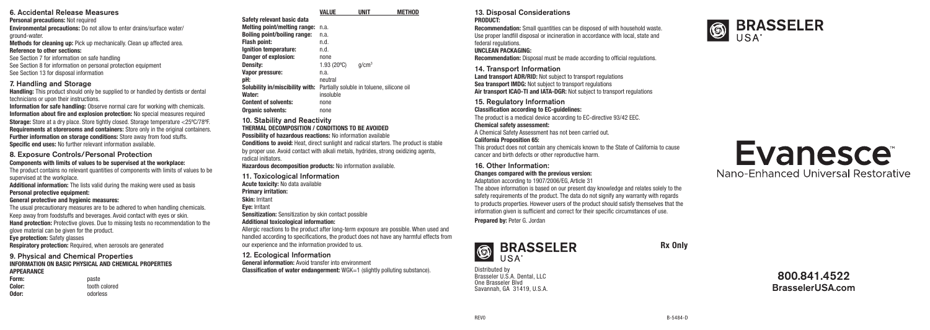# 6. Accidental Release Measures

Personal precautions: Not required

Environmental precautions: Do not allow to enter drains/surface water/ ground-water.

Methods for cleaning up: Pick up mechanically. Clean up affected area.

#### Reference to other sections:

See Section 7 for information on safe handling See Section 8 for information on personal protection equipment See Section 13 for disposal information

## 7. Handling and Storage

Handling: This product should only be supplied to or handled by dentists or dental technicians or upon their instructions.

Information for safe handling: Observe normal care for working with chemicals. Information about fire and explosion protection: No special measures required Storage: Store at a dry place. Store tightly closed. Storage temperature <25ºC/78ºF. Requirements at storerooms and containers: Store only in the original containers. Further information on storage conditions: Store away from food stuffs. Specific end uses: No further relevant information available.

#### 8. Exposure Controls/Personal Protection Components with limits of values to be supervised at the workplace:

The product contains no relevant quantities of components with limits of values to be supervised at the workplace.

Additional information: The lists valid during the making were used as basis Personal protective equipment:

#### General protective and hygienic measures:

The usual precautionary measures are to be adhered to when handling chemicals. Keep away from foodstuffs and beverages. Avoid contact with eyes or skin. Hand protection: Protective gloves. Due to missing tests no recommendation to the glove material can be given for the product.

Eye protection: Safety glasses

Respiratory protection: Required, when aerosols are generated

#### 9. Physical and Chemical Properties INFORMATION ON BASIC PHYSICAL AND CHEMICAL PROPERTIES APPEARANCE

| Form:  | paste         |
|--------|---------------|
| Color: | tooth colored |
| Odor:  | odorless      |

| Safety relevant basic data          |                                            |                   |
|-------------------------------------|--------------------------------------------|-------------------|
| Melting point/melting range:        | n.a.                                       |                   |
| <b>Boiling point/boiling range:</b> | n.a.                                       |                   |
| <b>Flash point:</b>                 | n.d.                                       |                   |
| Ignition temperature:               | n d                                        |                   |
| Danger of explosion:                | none                                       |                   |
| Density:                            | 1.93(20°C)                                 | a/cm <sup>3</sup> |
| Vapor pressure:                     | n.a.                                       |                   |
| pH:                                 | neutral                                    |                   |
| Solubility in/miscibility with:     | Partially soluble in toluene, silicone oil |                   |
| Water:                              | insoluble                                  |                   |
| <b>Content of solvents:</b>         | none                                       |                   |
| <b>Organic solvents:</b>            | none                                       |                   |
|                                     |                                            |                   |

# 10. Stability and Reactivity

THERMAL DECOMPOSITION / CONDITIONS TO BE AVOIDED Possibility of hazardous reactions: No information available

Conditions to avoid: Heat, direct sunlight and radical starters. The product is stable by proper use. Avoid contact with alkali metals, hydrides, strong oxidizing agents, radical initiators.

VALUE UNIT METHOD

Hazardous decomposition products: No information available.

#### 11. Toxicological Information

Acute toxicity: No data available

Primary irritation:

Skin: Irritant

Eye: Irritant

Sensitization: Sensitization by skin contact possible

#### Additional toxicological information:

Allergic reactions to the product after long-term exposure are possible. When used and handled according to specifications, the product does not have any harmful effects from our experience and the information provided to us.

# 12. Ecological Information

General information: Avoid transfer into environment Classification of water endangerment: WGK=1 (slightly polluting substance).

#### 13. Disposal Considerations PRODUCT:

Recommendation: Small quantities can be disposed of with household waste. Use proper landfill disposal or incineration in accordance with local, state and federal regulations.

#### UNCLEAN PACKAGING:

Recommendation: Disposal must be made according to official regulations.

#### 14. Transport Information

Land transport ADR/RID: Not subject to transport regulations Sea transport IMDG: Not subject to transport regulations Air transport ICAO-TI and IATA-DGR: Not subject to transport regulations

15. Regulatory Information Classification according to EC-guidelines: The product is a medical device according to EC-directive 93/42 EEC.

Chemical safety assessment: A Chemical Safety Assessment has not been carried out. California Proposition 65:

This product does not contain any chemicals known to the State of California to cause cancer and birth defects or other reproductive harm.

16. Other Information:

# Changes compared with the previous version:

Adaptation according to 1907/2006/EG, Article 31

The above information is based on our present day knowledge and relates solely to the safety requirements of the product. The data do not signify any warranty with regards to products properties. However users of the product should satisfy themselves that the information given is sufficient and correct for their specific circumstances of use.

Prepared by: Peter G. Jordan



Rx Only

Distributed by Brasseler U.S.A. Dental, LLC One Brasseler Blvd Savannah, GA 31419, U.S.A.